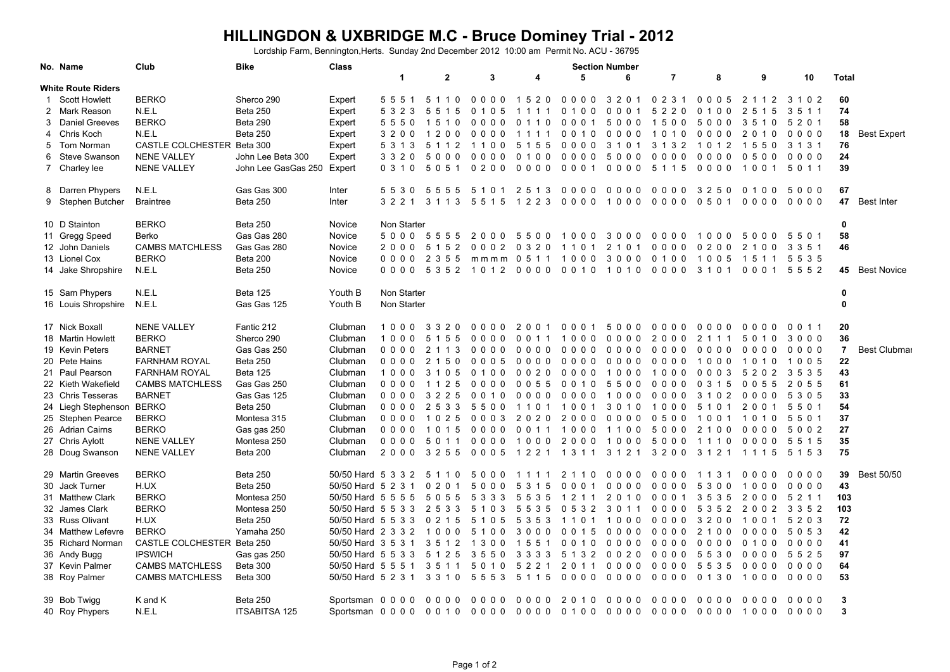## **HILLINGDON & UXBRIDGE M.C - Bruce Dominey Trial - 2012**

Lordship Farm, Bennington,Herts. Sunday 2nd December 2012 10:00 am Permit No. ACU - 36795

|    | No. Name                  | Club                       | <b>Bike</b>          | <b>Class</b>               |                          | <b>Section Number</b> |                                 |                          |                |                                  |                 |                                        |                    |         |                |                     |
|----|---------------------------|----------------------------|----------------------|----------------------------|--------------------------|-----------------------|---------------------------------|--------------------------|----------------|----------------------------------|-----------------|----------------------------------------|--------------------|---------|----------------|---------------------|
|    |                           |                            |                      |                            | $\blacktriangleleft$     | $\mathbf{2}$          | 3                               | 4                        | 5              | 6                                | $\overline{7}$  | 8                                      | 9                  | 10      | <b>Total</b>   |                     |
|    | <b>White Route Riders</b> |                            |                      |                            |                          |                       |                                 |                          |                |                                  |                 |                                        |                    |         |                |                     |
| -1 | <b>Scott Howlett</b>      | <b>BERKO</b>               | Sherco 290           | Expert                     | 5551                     | 5 1 1 0               | 0000                            | 1520                     | 0000           | 3 2 0 1                          | 0231            | 0005                                   | 2<br>1 1 2         | 3 1 0 2 | 60             |                     |
|    | 2 Mark Reason             | N.E.L                      | <b>Beta 250</b>      | Expert                     | 5 3 2 3                  | 5 5 1 5               | 0 1 0 5                         | 1 1 1 1                  | 0 1 0 0        | 0001                             | 5 2 2 0         | 0 1 0 0                                | 2 5 1 5            | 3 5 1 1 | 74             |                     |
|    | 3 Daniel Greeves          | <b>BERKO</b>               | <b>Beta 290</b>      | Expert                     | 5550                     | 1510                  | 0000                            | 0 1 1 0                  | 0001           | 5000                             | 1500            | 5000                                   | 3510               | 5 2 0 1 | 58             |                     |
|    | 4 Chris Koch              | N.E.L                      | <b>Beta 250</b>      | Expert                     | 3200                     | 1200                  | 0000                            | 1 1 1 1                  | 0 0 1 0        | 0000                             | 1 0 1 0         | 0000                                   | 2 0 1 0            | $0000$  |                | 18 Best Expert      |
|    | 5 Tom Norman              | CASTLE COLCHESTER Beta 300 |                      | Expert                     | 5 3 1 3                  | 5 1 1 2               | 1100                            | 5 1 5 5                  | 0000           | 3 1 0 1                          | 3 1 3 2         | 1 0 1 2                                | 1550               | 3 1 3 1 | 76             |                     |
|    | 6 Steve Swanson           | <b>NENE VALLEY</b>         | John Lee Beta 300    | Expert                     | 3 3 2 0                  | 5000                  | 0000                            | 0 1 0 0                  | 0000           | 5000                             | 0000            | 0000                                   | 0500               | 0000    | 24             |                     |
|    | 7 Charley lee             | <b>NENE VALLEY</b>         | John Lee GasGas 250  | Expert                     | 0 3 1 0                  | 5051                  | 0200                            | 0000                     | 0001           | 0000                             | 5 1 1 5         | 0000                                   | 1001               | 5 0 1 1 | 39             |                     |
|    | 8 Darren Phypers          | N.E.L                      | Gas Gas 300          | Inter                      |                          | 5530 5555             |                                 | 5101 2513 0000           |                | 0000                             | 0000            | 3250                                   | 0 1 0 0            | 5000    | 67             |                     |
|    | 9 Stephen Butcher         | <b>Braintree</b>           | <b>Beta 250</b>      | Inter                      | 3 2 2 1                  | 3 1 1 3               |                                 | 5515 1223 0000           |                | 1000                             | 0000            | 0 5 0 1                                | $0000$             | $0000$  |                | 47 Best Inter       |
|    | 10 D Stainton             | <b>BERKO</b>               | <b>Beta 250</b>      | Novice                     | Non Starter              |                       |                                 |                          |                |                                  |                 |                                        |                    |         | 0              |                     |
|    | 11 Gregg Speed            | Berko                      | Gas Gas 280          | Novice                     |                          | 5000 5555             | 2000                            | 5500 1000 3000           |                |                                  | 0000            | 1000                                   | 5000               | 5501    | 58             |                     |
|    | 12 John Daniels           | <b>CAMBS MATCHLESS</b>     | Gas Gas 280          | Novice                     | 2000                     | 5<br>52               | $\Omega$<br>2<br>0 <sub>0</sub> | 0 3 2 0                  | 1101           | 2 <sub>1</sub><br>0 <sub>1</sub> | $\Omega$<br>000 | 0 <sub>2</sub><br>$\Omega$<br>$\Omega$ | 2<br>$\Omega$<br>0 | 3 3 5 1 | 46             |                     |
|    | 13 Lionel Cox             | <b>BERKO</b>               | Beta 200             | Novice                     |                          | 0000 2355             |                                 | mmmm 0511                | 1000 3000      |                                  | 0100            | 1005                                   | 1511 5535          |         |                |                     |
|    | 14 Jake Shropshire        | N.E.L                      | <b>Beta 250</b>      | Novice                     | $0\;0\;0\;0$             | 5 3 5 2               | 10120000                        |                          | 00101010       |                                  | 0000            | 3 1 0 1                                | 0001               | 5552    |                | 45 Best Novice      |
|    | 15 Sam Phypers            | N.E.L                      | <b>Beta 125</b>      | Youth B                    | Non Starter              |                       |                                 |                          |                |                                  |                 |                                        |                    |         | 0              |                     |
|    | 16 Louis Shropshire N.E.L |                            | Gas Gas 125          | Youth B                    | Non Starter              |                       |                                 |                          |                |                                  |                 |                                        |                    |         | $\mathbf{0}$   |                     |
|    | 17 Nick Boxall            | <b>NENE VALLEY</b>         | Fantic 212           | Clubman                    | 1000                     | 3320                  |                                 | 0000 2001                | 0001           | 5000                             | 0000            | $0000$                                 | 0000               | 0 0 1 1 | 20             |                     |
|    | 18 Martin Howlett         | <b>BERKO</b>               | Sherco 290           | Clubman                    | 1000                     | 5 1 5 5               | 0000                            | 0 0 1 1                  | 1000           | $0000$                           | 2000            | 2 1 1 1                                | 5 0 1 0            | 3000    | 36             |                     |
|    | 19 Kevin Peters           | <b>BARNET</b>              | Gas Gas 250          | Clubman                    | $0000$                   | 2 1 1 3               | 0000                            | $0000$                   | $0000$         | 0000                             | 0000            | $0000$                                 | $0000$             | $0000$  | $\overline{7}$ | <b>Best Clubmar</b> |
|    | 20 Pete Hains             | <b>FARNHAM ROYAL</b>       | <b>Beta 250</b>      | Clubman                    | 0000                     | 2 1 5 0               | 0005                            | 0000                     | 0000           | 0000                             | 0000            | 1000                                   | 1010               | 1005    | 22             |                     |
|    | 21 Paul Pearson           | <b>FARNHAM ROYAL</b>       | Beta 125             | Clubman                    | 1000                     | 3 1 0 5               | 0100                            | 0 0 2 0                  | 0000           | 1000                             | 1000            | $0003$                                 | 5 2 0 2            | 3535    | 43             |                     |
|    | 22 Kieth Wakefield        | <b>CAMBS MATCHLESS</b>     | Gas Gas 250          | Clubman                    | 0000                     | 1 1 2 5               | 0000                            | 0 0 5 5                  | 0010           | 5500                             | 0000            | 0 3 1 5                                | 0 0 5 5            | 2 0 5 5 | 61             |                     |
|    | 23 Chris Tesseras         | <b>BARNET</b>              | Gas Gas 125          | Clubman                    | $0\quad 0\quad 0\quad 0$ | 3 2 2 5               | 0 0 1 0                         | 0000                     | 0000           | 1000                             | 0000            | 3 1 0 2                                | 0000               | 5 3 0 5 | 33             |                     |
|    |                           |                            | <b>Beta 250</b>      | Clubman                    |                          |                       |                                 |                          |                |                                  |                 |                                        |                    |         | 54             |                     |
|    | 24 Liegh Stephenson BERKO |                            |                      |                            | 0000                     | 2533                  | 5500                            |                          | 1101 1001 3010 |                                  | 1000            | 5 1 0 1                                | 2001               | 5501    |                |                     |
|    | 25 Stephen Pearce         | <b>BERKO</b>               | Montesa 315          | Clubman                    | $0000$                   | 1 0 2 5               | $0003$                          | 2020                     | 2000           | 0000                             | 0500            | 10<br>0 <sub>1</sub>                   | 1 0 1 0            | 5501    | 37             |                     |
|    | 26 Adrian Cairns          | <b>BERKO</b>               | Gas gas 250          | Clubman                    | $0000$                   | 1 0 1 5               |                                 | 0000 0011 1000 1100      |                |                                  | 5000            | 2 1 0 0                                | 0000               | 5002    | 27             |                     |
|    | 27 Chris Aylott           | <b>NENE VALLEY</b>         | Montesa 250          | Clubman                    | $0000$                   | 5 0 1 1               | $0000$                          | 1000                     | 2000           | 1000                             | 5000            | 1110                                   | $0000$             | 5 5 1 5 | 35             |                     |
|    | 28 Doug Swanson           | <b>NENE VALLEY</b>         | Beta 200             | Clubman                    |                          | 2000 3255             |                                 | 0005 1221 1311 3121 3200 |                |                                  |                 | 3 1 2 1 1 1 1 5                        |                    | 5 1 5 3 | 75             |                     |
|    | 29 Martin Greeves         | <b>BERKO</b>               | <b>Beta 250</b>      | 50/50 Hard 5 3 3 2 5 1 1 0 |                          |                       |                                 | 5000 1111 2110           |                | 0000                             | 0000            | 1 1 3 1                                | $0000$             | $0000$  | 39             | Best 50/50          |
|    | 30 Jack Turner            | H.UX                       | <b>Beta 250</b>      | 50/50 Hard 5 2 3 1         |                          | 0 2 0 1               | 5000                            | 5 3 1 5                  | 0001           | $0000$                           | 0000            | 0 <sub>0</sub><br>53                   | 1000               | $0000$  | 43             |                     |
|    | 31 Matthew Clark          | <b>BERKO</b>               | Montesa 250          | 50/50 Hard 5 5 5 5 5 0 5 5 |                          |                       | 5 3 3 3                         | 5 5 3 5                  | 1 2 1 1        | 2 0 1 0                          | 0001            | 3535                                   | 2000               | 5 2 1 1 | 103            |                     |
|    | 32 James Clark            | <b>BERKO</b>               | Montesa 250          | 50/50 Hard 5 5 3 3         |                          | 2533                  | 5 1 0 3                         | 5535                     | 0532           | 3011                             | 0000            | 5 3 5 2                                | 2002               | 3 3 5 2 | 103            |                     |
|    | 33 Russ Olivant           | H.UX                       | <b>Beta 250</b>      | 50/50 Hard 5 5 3 3 0 2 1 5 |                          |                       |                                 | 5 1 0 5 5 3 5 3 1 1 0 1  |                | 1000                             | 0000            | 3 2 0 0                                | 1001               | 5 2 0 3 | 72             |                     |
|    | 34 Matthew Lefevre        | <b>BERKO</b>               | Yamaha 250           | 50/50 Hard 2 3 3 2 1 0 0 0 |                          |                       | 5100                            | 3000                     | 0 0 1 5        | 0000                             | 0000            | 2 1 0 0                                | $0000$             | 5 0 5 3 | 42             |                     |
|    | 35 Richard Norman         | CASTLE COLCHESTER Beta 250 |                      | 50/50 Hard 3 5 3 1         |                          | 3 5 1 2               | 1300 1551                       |                          | 0010           | 0000                             | 0000            | 0000                                   | 0 1 0 0            | 0000    | 41             |                     |
|    | 36 Andy Bugg              | <b>IPSWICH</b>             | Gas gas 250          | 50/50 Hard 5 5 3 3 5 1 2 5 |                          |                       | 3550                            | 3 3 3 3                  | 5 1 3 2        | 0020                             | 0000            | 5530                                   | $0000$             | 5 5 2 5 | 97             |                     |
|    | 37 Kevin Palmer           | <b>CAMBS MATCHLESS</b>     | <b>Beta 300</b>      | 50/50 Hard 5 5 5 1         |                          | 3511                  | 5 0 1 0                         | 5 2 2 1                  | 2 0 1 1        | $0000$                           | $0000$          | 5 5 3 5                                | $0000$             | $0000$  | 64             |                     |
|    | 38 Roy Palmer             | <b>CAMBS MATCHLESS</b>     | Beta 300             | 50/50 Hard 5 2 3 1 3 3 1 0 |                          |                       | 5 5 5 3 5 1 1 5                 |                          | 0000           | 0000                             | 0000            | 0 1 3 0                                | 1000               | $0000$  | 53             |                     |
|    |                           |                            |                      |                            |                          | 0000                  |                                 |                          |                |                                  | $0000$          |                                        |                    |         | 3              |                     |
|    | 39 Bob Twigg              | K and K                    | <b>Beta 250</b>      | Sportsman 0 0 0 0          |                          |                       | 0000                            | 0000                     | 2010           | 0000                             |                 | 0000                                   | $0000$             | $0000$  | 3              |                     |
|    | 40 Roy Phypers            | N.E.L                      | <b>ITSABITSA 125</b> |                            |                          |                       |                                 |                          |                |                                  |                 |                                        |                    | 0000    |                |                     |